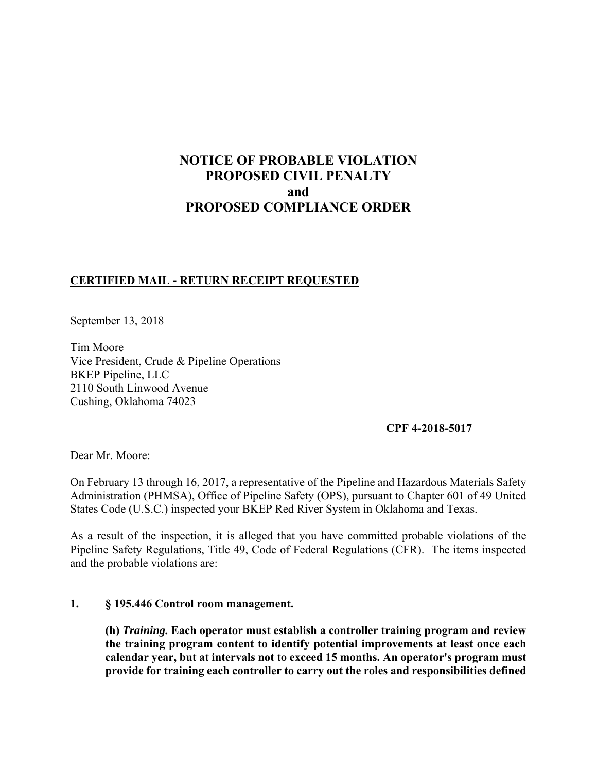# **NOTICE OF PROBABLE VIOLATION PROPOSED CIVIL PENALTY and PROPOSED COMPLIANCE ORDER**

## **CERTIFIED MAIL - RETURN RECEIPT REQUESTED**

September 13, 2018

Tim Moore Vice President, Crude & Pipeline Operations BKEP Pipeline, LLC 2110 South Linwood Avenue Cushing, Oklahoma 74023

### **CPF 4-2018-5017**

Dear Mr. Moore:

On February 13 through 16, 2017, a representative of the Pipeline and Hazardous Materials Safety Administration (PHMSA), Office of Pipeline Safety (OPS), pursuant to Chapter 601 of 49 United States Code (U.S.C.) inspected your BKEP Red River System in Oklahoma and Texas.

 Pipeline Safety Regulations, Title 49, Code of Federal Regulations (CFR). The items inspected As a result of the inspection, it is alleged that you have committed probable violations of the and the probable violations are:

### **1. § 195.446 Control room management.**

**(h)** *Training.* **Each operator must establish a controller training program and review the training program content to identify potential improvements at least once each calendar year, but at intervals not to exceed 15 months. An operator's program must provide for training each controller to carry out the roles and responsibilities defined**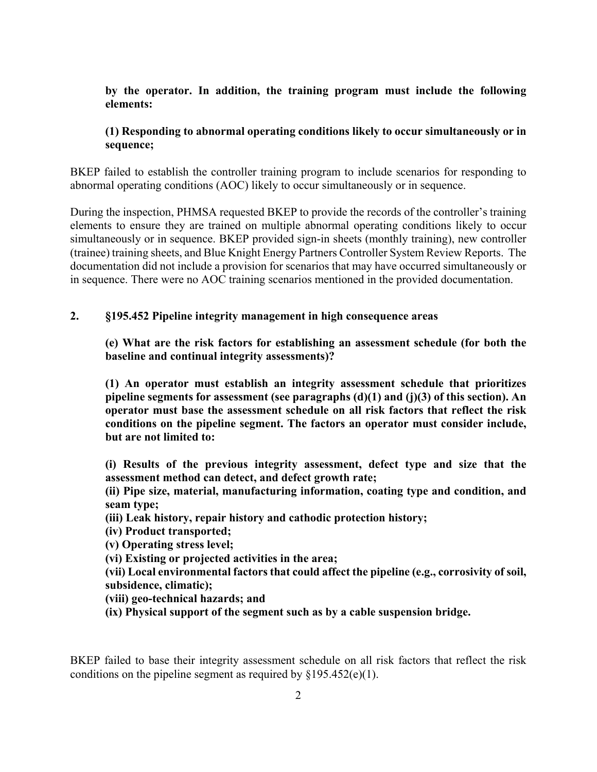## **by the operator. In addition, the training program must include the following elements:**

## **(1) Responding to abnormal operating conditions likely to occur simultaneously or in sequence;**

 BKEP failed to establish the controller training program to include scenarios for responding to abnormal operating conditions (AOC) likely to occur simultaneously or in sequence.

During the inspection, PHMSA requested BKEP to provide the records of the controller's training elements to ensure they are trained on multiple abnormal operating conditions likely to occur simultaneously or in sequence. BKEP provided sign-in sheets (monthly training), new controller (trainee) training sheets, and Blue Knight Energy Partners Controller System Review Reports. The documentation did not include a provision for scenarios that may have occurred simultaneously or in sequence. There were no AOC training scenarios mentioned in the provided documentation.

### **2. §195.452 Pipeline integrity management in high consequence areas**

**(e) What are the risk factors for establishing an assessment schedule (for both the baseline and continual integrity assessments)?** 

**(1) An operator must establish an integrity assessment schedule that prioritizes pipeline segments for assessment (see paragraphs (d)(1) and (j)(3) of this section). An operator must base the assessment schedule on all risk factors that reflect the risk conditions on the pipeline segment. The factors an operator must consider include, but are not limited to:** 

**(i) Results of the previous integrity assessment, defect type and size that the assessment method can detect, and defect growth rate;** 

**(ii) Pipe size, material, manufacturing information, coating type and condition, and seam type;** 

**(iii) Leak history, repair history and cathodic protection history;** 

**(iv) Product transported;** 

**(v) Operating stress level;** 

**(vi) Existing or projected activities in the area;** 

**(vii) Local environmental factors that could affect the pipeline (e.g., corrosivity of soil, subsidence, climatic);** 

**(viii) geo-technical hazards; and** 

**(ix) Physical support of the segment such as by a cable suspension bridge.** 

BKEP failed to base their integrity assessment schedule on all risk factors that reflect the risk conditions on the pipeline segment as required by  $\S 195.452(e)(1)$ .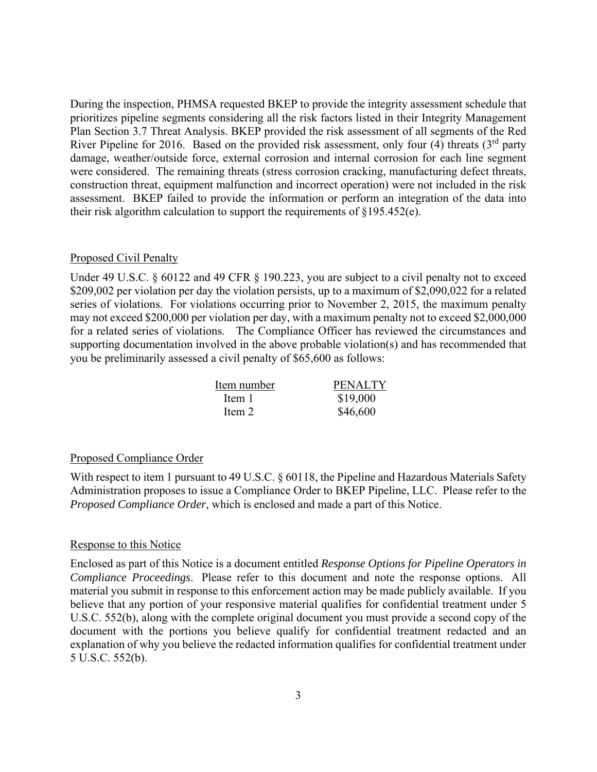During the inspection, PHMSA requested BKEP to provide the integrity assessment schedule that prioritizes pipeline segments considering all the risk factors listed in their Integrity Management Plan Section 3.7 Threat Analysis. BKEP provided the risk assessment of all segments of the Red River Pipeline for 2016. Based on the provided risk assessment, only four (4) threats  $(3<sup>rd</sup>$  party damage, weather/outside force, external corrosion and internal corrosion for each line segment were considered. The remaining threats (stress corrosion cracking, manufacturing defect threats, construction threat, equipment malfunction and incorrect operation) were not included in the risk assessment. BKEP failed to provide the information or perform an integration of the data into their risk algorithm calculation to support the requirements of  $\S 195.452(e)$ .

#### Proposed Civil Penalty

 may not exceed \$200,000 per violation per day, with a maximum penalty not to exceed \$2,000,000 for a related series of violations. The Compliance Officer has reviewed the circumstances and Under 49 U.S.C. § 60122 and 49 CFR § 190.223, you are subject to a civil penalty not to exceed \$209,002 per violation per day the violation persists, up to a maximum of \$2,090,022 for a related series of violations. For violations occurring prior to November 2, 2015, the maximum penalty supporting documentation involved in the above probable violation(s) and has recommended that you be preliminarily assessed a civil penalty of \$65,600 as follows:

| Item number | <b>PENALTY</b> |
|-------------|----------------|
| Item 1      | \$19,000       |
| Item 2      | \$46,600       |

#### Proposed Compliance Order

 Administration proposes to issue a Compliance Order to BKEP Pipeline, LLC. Please refer to the With respect to item 1 pursuant to 49 U.S.C. § 60118, the Pipeline and Hazardous Materials Safety *Proposed Compliance Order*, which is enclosed and made a part of this Notice.

#### Response to this Notice

 *Compliance Proceedings*. Please refer to this document and note the response options. All Enclosed as part of this Notice is a document entitled *Response Options for Pipeline Operators in*  material you submit in response to this enforcement action may be made publicly available. If you believe that any portion of your responsive material qualifies for confidential treatment under 5 U.S.C. 552(b), along with the complete original document you must provide a second copy of the document with the portions you believe qualify for confidential treatment redacted and an explanation of why you believe the redacted information qualifies for confidential treatment under 5 U.S.C. 552(b).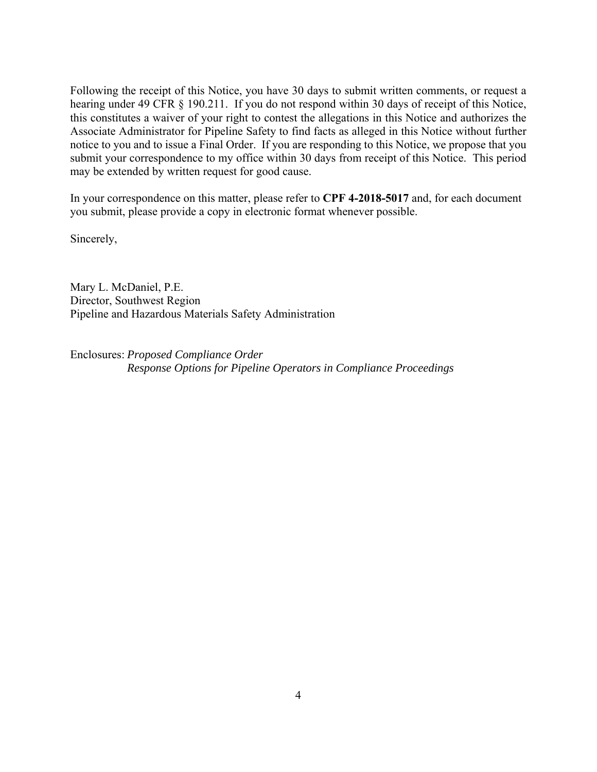submit your correspondence to my office within 30 days from receipt of this Notice. This period Following the receipt of this Notice, you have 30 days to submit written comments, or request a hearing under 49 CFR § 190.211. If you do not respond within 30 days of receipt of this Notice, this constitutes a waiver of your right to contest the allegations in this Notice and authorizes the Associate Administrator for Pipeline Safety to find facts as alleged in this Notice without further notice to you and to issue a Final Order. If you are responding to this Notice, we propose that you may be extended by written request for good cause.

In your correspondence on this matter, please refer to **CPF 4-2018-5017** and, for each document you submit, please provide a copy in electronic format whenever possible.

Sincerely,

Mary L. McDaniel, P.E. Director, Southwest Region Pipeline and Hazardous Materials Safety Administration

Enclosures: *Proposed Compliance Order Response Options for Pipeline Operators in Compliance Proceedings*